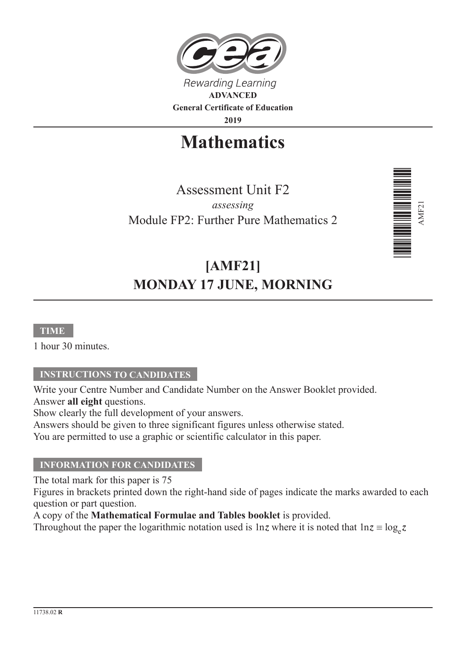

**2019**

# **Mathematics**

Assessment Unit F2 *assessing* Module FP2: Further Pure Mathematics 2



# **[AMF21] MONDAY 17 JUNE, MORNING**

#### **TIME**

1 hour 30 minutes.

#### **INSTRUCTIONS TO CANDIDATES**

Write your Centre Number and Candidate Number on the Answer Booklet provided. Answer **all eight** questions.

Show clearly the full development of your answers.

Answers should be given to three significant figures unless otherwise stated.

You are permitted to use a graphic or scientific calculator in this paper.

#### **INFORMATION FOR CANDIDATES**

The total mark for this paper is 75

Figures in brackets printed down the right-hand side of pages indicate the marks awarded to each question or part question.

A copy of the **Mathematical Formulae and Tables booklet** is provided.

Throughout the paper the logarithmic notation used is 1nz where it is noted that  $\ln z \equiv \log_e z$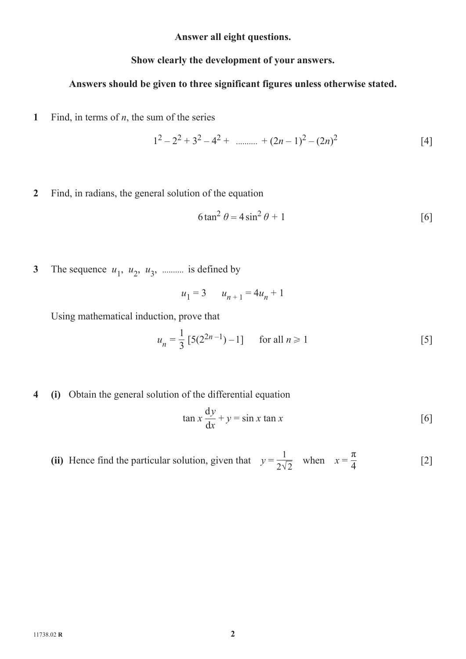**Answer all eight questions.**

### **Show clearly the development of your answers.**

### **Answers should be given to three significant figures unless otherwise stated.**

**1** Find, in terms of  $n$ , the sum of the series

$$
1^2 - 2^2 + 3^2 - 4^2 + \dots + (2n - 1)^2 - (2n)^2 \tag{4}
$$

**2** Find, in radians, the general solution of the equation

$$
6\tan^2\theta = 4\sin^2\theta + 1\tag{6}
$$

**3** The sequence  $u_1$ ,  $u_2$ ,  $u_3$ , .......... is defined by

$$
u_1 = 3 \qquad u_{n+1} = 4u_n + 1
$$

Using mathematical induction, prove that

$$
u_n = \frac{1}{3} [5(2^{2n-1}) - 1] \quad \text{for all } n \ge 1
$$
 [5]

**4 (i)** Obtain the general solution of the differential equation

$$
\tan x \frac{dy}{dx} + y = \sin x \tan x \tag{6}
$$

(ii) Hence find the particular solution, given that 
$$
y = \frac{1}{2\sqrt{2}}
$$
 when  $x = \frac{\pi}{4}$  [2]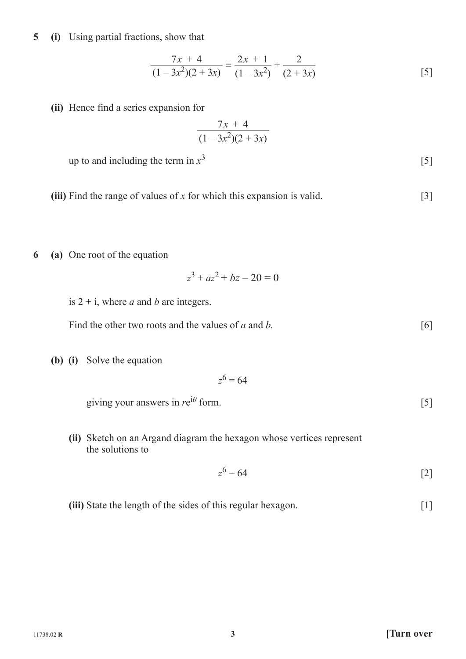**5 (i)** Using partial fractions, show that

$$
\frac{7x+4}{(1-3x^2)(2+3x)} \equiv \frac{2x+1}{(1-3x^2)} + \frac{2}{(2+3x)}
$$
 [5]

**(ii)** Hence find a series expansion for

$$
\frac{7x+4}{(1-3x^2)(2+3x)}
$$

up to and including the term in  $x^3$  [5]

**(iii)** Find the range of values of *x* for which this expansion is valid. [3]

**6 (a)** One root of the equation

$$
z^3 + az^2 + bz - 20 = 0
$$

is  $2 + i$ , where *a* and *b* are integers.

| Find the other two roots and the values of a and b. |  |
|-----------------------------------------------------|--|
|-----------------------------------------------------|--|

**(b) (i)** Solve the equation

$$
z^6 = 64
$$

 $\frac{1}{2}$  giving your answers in  $re^{i\theta}$  form. [5]

 **(ii)** Sketch on an Argand diagram the hexagon whose vertices represent the solutions to

$$
z^6 = 64
$$
 [2]

**(iii)** State the length of the sides of this regular hexagon. [1]